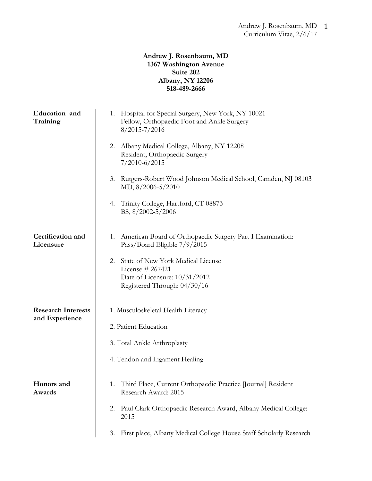# **Andrew J. Rosenbaum, MD 1367 Washington Avenue Suite 202 Albany, NY 12206 518-489-2666**

| Education and<br>Training                   | 1. Hospital for Special Surgery, New York, NY 10021<br>Fellow, Orthopaedic Foot and Ankle Surgery<br>$8/2015 - 7/2016$    |
|---------------------------------------------|---------------------------------------------------------------------------------------------------------------------------|
|                                             | 2. Albany Medical College, Albany, NY 12208<br>Resident, Orthopaedic Surgery<br>$7/2010 - 6/2015$                         |
|                                             | 3. Rutgers-Robert Wood Johnson Medical School, Camden, NJ 08103<br>MD, 8/2006-5/2010                                      |
|                                             | 4. Trinity College, Hartford, CT 08873<br>BS, 8/2002-5/2006                                                               |
| Certification and<br>Licensure              | American Board of Orthopaedic Surgery Part I Examination:<br>1.<br>Pass/Board Eligible 7/9/2015                           |
|                                             | 2. State of New York Medical License<br>License # 267421<br>Date of Licensure: 10/31/2012<br>Registered Through: 04/30/16 |
| <b>Research Interests</b><br>and Experience | 1. Musculoskeletal Health Literacy                                                                                        |
|                                             | 2. Patient Education                                                                                                      |
|                                             | 3. Total Ankle Arthroplasty                                                                                               |
|                                             | 4. Tendon and Ligament Healing                                                                                            |
| Honors and<br>Awards                        | Third Place, Current Orthopaedic Practice [Journal] Resident<br>1.<br>Research Award: 2015                                |
|                                             | Paul Clark Orthopaedic Research Award, Albany Medical College:<br>2.<br>2015                                              |
|                                             | First place, Albany Medical College House Staff Scholarly Research<br>3.                                                  |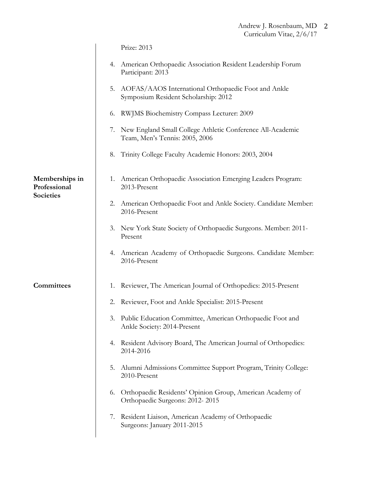|                                             |    | Prize: 2013                                                                                     |
|---------------------------------------------|----|-------------------------------------------------------------------------------------------------|
|                                             |    | 4. American Orthopaedic Association Resident Leadership Forum<br>Participant: 2013              |
|                                             |    | 5. AOFAS/AAOS International Orthopaedic Foot and Ankle<br>Symposium Resident Scholarship: 2012  |
|                                             |    | 6. RWJMS Biochemistry Compass Lecturer: 2009                                                    |
|                                             |    | 7. New England Small College Athletic Conference All-Academic<br>Team, Men's Tennis: 2005, 2006 |
|                                             |    | 8. Trinity College Faculty Academic Honors: 2003, 2004                                          |
| Memberships in<br>Professional<br>Societies |    | 1. American Orthopaedic Association Emerging Leaders Program:<br>2013-Present                   |
|                                             |    | 2. American Orthopaedic Foot and Ankle Society. Candidate Member:<br>2016-Present               |
|                                             |    | 3. New York State Society of Orthopaedic Surgeons. Member: 2011-<br>Present                     |
|                                             |    | 4. American Academy of Orthopaedic Surgeons. Candidate Member:<br>2016-Present                  |
| Committees                                  |    | 1. Reviewer, The American Journal of Orthopedics: 2015-Present                                  |
|                                             | 2. | Reviewer, Foot and Ankle Specialist: 2015-Present                                               |
|                                             |    | Public Education Committee, American Orthopaedic Foot and<br>Ankle Society: 2014-Present        |
|                                             |    | 4. Resident Advisory Board, The American Journal of Orthopedics:<br>2014-2016                   |
|                                             | 5. | Alumni Admissions Committee Support Program, Trinity College:<br>2010-Present                   |
|                                             |    | 6. Orthopaedic Residents' Opinion Group, American Academy of<br>Orthopaedic Surgeons: 2012-2015 |
|                                             |    | 7. Resident Liaison, American Academy of Orthopaedic<br>Surgeons: January 2011-2015             |
|                                             |    |                                                                                                 |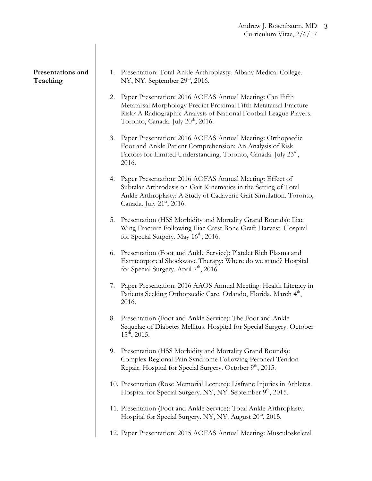**Presentations and Teaching**

- 1. Presentation: Total Ankle Arthroplasty. Albany Medical College. NY, NY. September  $29<sup>th</sup>$ , 2016.
- 2. Paper Presentation: 2016 AOFAS Annual Meeting: Can Fifth Metatarsal Morphology Predict Proximal Fifth Metatarsal Fracture Risk? A Radiographic Analysis of National Football League Players. Toronto, Canada. July  $20<sup>th</sup>$ , 2016.
- 3. Paper Presentation: 2016 AOFAS Annual Meeting: Orthopaedic Foot and Ankle Patient Comprehension: An Analysis of Risk Factors for Limited Understanding. Toronto, Canada. July 23rd, 2016.
- 4. Paper Presentation: 2016 AOFAS Annual Meeting: Effect of Subtalar Arthrodesis on Gait Kinematics in the Setting of Total Ankle Arthroplasty: A Study of Cadaveric Gait Simulation. Toronto, Canada. July 21<sup>st</sup>, 2016.
- 5. Presentation (HSS Morbidity and Mortality Grand Rounds): Iliac Wing Fracture Following Iliac Crest Bone Graft Harvest. Hospital for Special Surgery. May  $16<sup>th</sup>$ , 2016.
- 6. Presentation (Foot and Ankle Service): Platelet Rich Plasma and Extracorporeal Shockwave Therapy: Where do we stand? Hospital for Special Surgery. April  $7<sup>th</sup>$ , 2016.
- 7. Paper Presentation: 2016 AAOS Annual Meeting: Health Literacy in Patients Seeking Orthopaedic Care. Orlando, Florida. March 4<sup>th</sup>, 2016.
- 8. Presentation (Foot and Ankle Service): The Foot and Ankle Sequelae of Diabetes Mellitus. Hospital for Special Surgery. October  $15^{\text{th}}$ , 2015.
- 9. Presentation (HSS Morbidity and Mortality Grand Rounds): Complex Regional Pain Syndrome Following Peroneal Tendon Repair. Hospital for Special Surgery. October  $9<sup>th</sup>$ , 2015.
- 10. Presentation (Rose Memorial Lecture): Lisfranc Injuries in Athletes. Hospital for Special Surgery. NY, NY. September  $9<sup>th</sup>$ , 2015.
- 11. Presentation (Foot and Ankle Service): Total Ankle Arthroplasty. Hospital for Special Surgery. NY, NY. August 20<sup>th</sup>, 2015.
- 12. Paper Presentation: 2015 AOFAS Annual Meeting: Musculoskeletal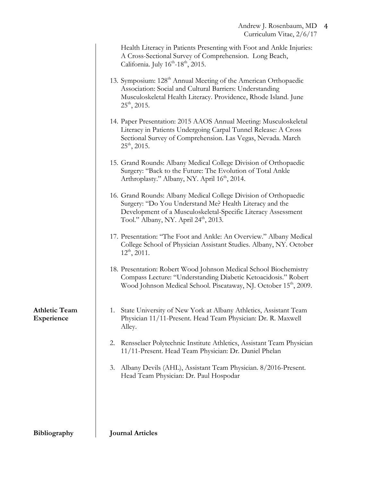|                                    | Health Literacy in Patients Presenting with Foot and Ankle Injuries:<br>A Cross-Sectional Survey of Comprehension. Long Beach,<br>California. July $16^{th}$ - $18^{th}$ , 2015.                                                                  |
|------------------------------------|---------------------------------------------------------------------------------------------------------------------------------------------------------------------------------------------------------------------------------------------------|
|                                    | 13. Symposium: 128 <sup>th</sup> Annual Meeting of the American Orthopaedic<br>Association: Social and Cultural Barriers: Understanding<br>Musculoskeletal Health Literacy. Providence, Rhode Island. June<br>$25th$ , 2015.                      |
|                                    | 14. Paper Presentation: 2015 AAOS Annual Meeting: Musculoskeletal<br>Literacy in Patients Undergoing Carpal Tunnel Release: A Cross<br>Sectional Survey of Comprehension. Las Vegas, Nevada. March<br>$25^{\text{th}}$ , 2015.                    |
|                                    | 15. Grand Rounds: Albany Medical College Division of Orthopaedic<br>Surgery: "Back to the Future: The Evolution of Total Ankle<br>Arthroplasty." Albany, NY. April 16 <sup>th</sup> , 2014.                                                       |
|                                    | 16. Grand Rounds: Albany Medical College Division of Orthopaedic<br>Surgery: "Do You Understand Me? Health Literacy and the<br>Development of a Musculoskeletal-Specific Literacy Assessment<br>Tool." Albany, NY. April 24 <sup>th</sup> , 2013. |
|                                    | 17. Presentation: "The Foot and Ankle: An Overview." Albany Medical<br>College School of Physician Assistant Studies. Albany, NY. October<br>$12^{th}$ , 2011.                                                                                    |
|                                    | 18. Presentation: Robert Wood Johnson Medical School Biochemistry<br>Compass Lecture: "Understanding Diabetic Ketoacidosis." Robert<br>Wood Johnson Medical School. Piscataway, NJ. October 15 <sup>th</sup> , 2009.                              |
| <b>Athletic Team</b><br>Experience | 1. State University of New York at Albany Athletics, Assistant Team<br>Physician 11/11-Present. Head Team Physician: Dr. R. Maxwell<br>Alley.                                                                                                     |
| 2.                                 | Rensselaer Polytechnic Institute Athletics, Assistant Team Physician<br>11/11-Present. Head Team Physician: Dr. Daniel Phelan                                                                                                                     |
|                                    | 3. Albany Devils (AHL), Assistant Team Physician. 8/2016-Present.<br>Head Team Physician: Dr. Paul Hospodar                                                                                                                                       |
|                                    |                                                                                                                                                                                                                                                   |
| Bibliography                       | <b>Journal Articles</b>                                                                                                                                                                                                                           |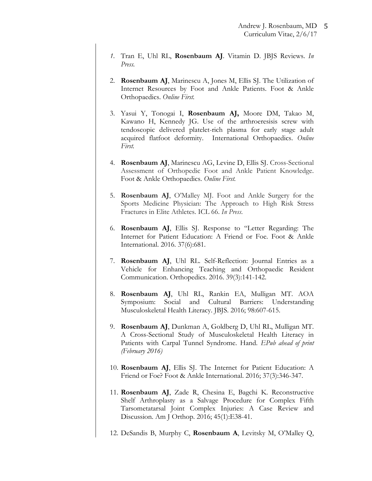- *1.* Tran E, Uhl RL, **Rosenbaum AJ**. Vitamin D. JBJS Reviews. *In Press.*
- 2. **Rosenbaum AJ**, Marinescu A, Jones M, Ellis SJ. The Utilization of Internet Resources by Foot and Ankle Patients. Foot & Ankle Orthopaedics. *Online First.*
- 3. Yasui Y, Tonogai I, **Rosenbaum AJ,** Moore DM, Takao M, Kawano H, Kennedy JG. Use of the arthroeresisis screw with tendoscopic delivered platelet-rich plasma for early stage adult acquired flatfoot deformity. International Orthopaedics. *Online First.*
- 4. **Rosenbaum AJ**, Marinescu AG, Levine D, Ellis SJ. Cross-Sectional Assessment of Orthopedic Foot and Ankle Patient Knowledge. Foot & Ankle Orthopaedics. *Online First.*
- 5. **Rosenbaum AJ**, O'Malley MJ. Foot and Ankle Surgery for the Sports Medicine Physician: The Approach to High Risk Stress Fractures in Elite Athletes. ICL 66. *In Press*.
- 6. **Rosenbaum AJ**, Ellis SJ. Response to "Letter Regarding: The Internet for Patient Education: A Friend or Foe. Foot & Ankle International. 2016. 37(6):681.
- 7. **Rosenbaum AJ**, Uhl RL. Self-Reflection: Journal Entries as a Vehicle for Enhancing Teaching and Orthopaedic Resident Communication. Orthopedics. 2016. 39(3):141-142.
- 8. **Rosenbaum AJ**, Uhl RL, Rankin EA, Mulligan MT. AOA Symposium: Social and Cultural Barriers: Understanding Musculoskeletal Health Literacy. JBJS. 2016; 98:607-615.
- 9. **Rosenbaum AJ**, Dunkman A, Goldberg D, Uhl RL, Mulligan MT. A Cross-Sectional Study of Musculoskeletal Health Literacy in Patients with Carpal Tunnel Syndrome. Hand. *EPub ahead of print (February 2016)*
- 10. **Rosenbaum AJ**, Ellis SJ. The Internet for Patient Education: A Friend or Foe? Foot & Ankle International. 2016; 37(3):346-347.
- 11. **Rosenbaum AJ**, Zade R, Chesina E, Bagchi K. Reconstructive Shelf Arthroplasty as a Salvage Procedure for Complex Fifth Tarsometatarsal Joint Complex Injuries: A Case Review and Discussion. Am J Orthop. 2016; 45(1):E38-41.
- 12. DeSandis B, Murphy C, **Rosenbaum A**, Levitsky M, O'Malley Q,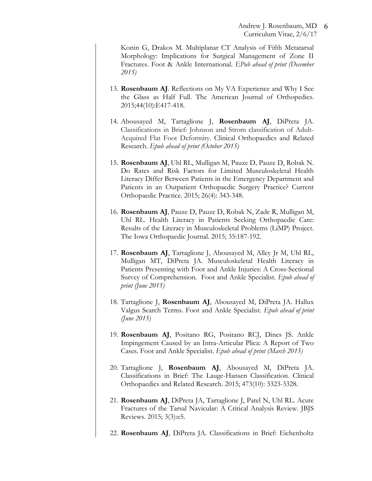Konin G, Drakos M. Multiplanar CT Analysis of Fifth Metatarsal Morphology: Implications for Surgical Management of Zone II Fractures. Foot & Ankle International. *EPub ahead of print (December 2015)*

- 13. **Rosenbaum AJ**. Reflections on My VA Experience and Why I See the Glass as Half Full. The American Journal of Orthopedics. 2015;44(10):E417-418.
- 14. Abousayed M, Tartaglione J, **Rosenbaum AJ**, DiPreta JA. Classifications in Brief: Johnson and Strom classification of Adult-Acquired Flat Foot Deformity. Clinical Orthopaedics and Related Research. *Epub ahead of print (October 2015)*
- 15. **Rosenbaum AJ**, Uhl RL, Mulligan M, Pauze D, Pauze D, Robak N. Do Rates and Risk Factors for Limited Musculoskeletal Health Literacy Differ Between Patients in the Emergency Department and Patients in an Outpatient Orthopaedic Surgery Practice? Current Orthopaedic Practice. 2015; 26(4): 343-348.
- 16. **Rosenbaum AJ**, Pauze D, Pauze D, Robak N, Zade R, Mulligan M, Uhl RL. Health Literacy in Patients Seeking Orthopaedic Care: Results of the Literacy in Musculoskeletal Problems (LiMP) Project. The Iowa Orthopaedic Journal. 2015; 35:187-192.
- 17. **Rosenbaum AJ**, Tartaglione J, Abousayed M, Alley Jr M, Uhl RL, Mulligan MT, DiPreta JA. Musculoskeletal Health Literacy in Patients Presenting with Foot and Ankle Injuries: A Cross-Sectional Survey of Comprehension. Foot and Ankle Specialist. *Epub ahead of print (June 2015)*
- 18. Tartaglione J, **Rosenbaum AJ**, Abousayed M, DiPreta JA. Hallux Valgus Search Terms. Foot and Ankle Specialist. *Epub ahead of print (June 2015)*
- 19. **Rosenbaum AJ**, Positano RG, Positano RCJ, Dines JS. Ankle Impingement Caused by an Intra-Articular Plica: A Report of Two Cases. Foot and Ankle Specialist. *Epub ahead of print (March 2015)*
- 20. Tartaglione J, **Rosenbaum AJ**, Abousayed M, DiPreta JA. Classifications in Brief: The Lauge-Hansen Classification. Clinical Orthopaedics and Related Research. 2015; 473(10): 3323-3328.
- 21. **Rosenbaum AJ**, DiPreta JA, Tartaglione J, Patel N, Uhl RL. Acute Fractures of the Tarsal Navicular: A Critical Analysis Review. JBJS Reviews. 2015; 3(3):e5.
- 22. **Rosenbaum AJ**, DiPreta JA. Classifications in Brief: Eichenholtz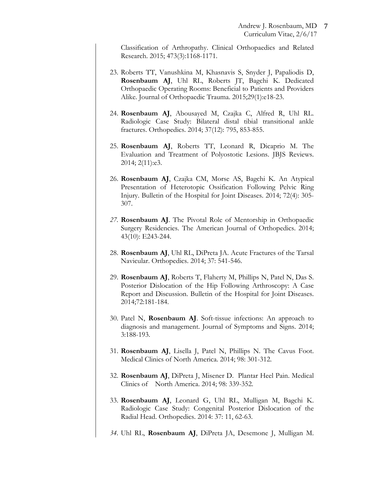Classification of Arthropathy. Clinical Orthopaedics and Related Research. 2015; 473(3):1168-1171.

- 23. Roberts TT, Vanushkina M, Khasnavis S, Snyder J, Papaliodis D, **Rosenbaum AJ**, Uhl RL, Roberts JT, Bagchi K. Dedicated Orthopaedic Operating Rooms: Beneficial to Patients and Providers Alike. Journal of Orthopaedic Trauma. 2015;29(1):e18-23.
- 24. **Rosenbaum AJ**, Abousayed M, Czajka C, Alfred R, Uhl RL. Radiologic Case Study: Bilateral distal tibial transitional ankle fractures. Orthopedics. 2014; 37(12): 795, 853-855.
- 25. **Rosenbaum AJ**, Roberts TT, Leonard R, Dicaprio M. The Evaluation and Treatment of Polyostotic Lesions. JBJS Reviews. 2014; 2(11):e3.
- 26. **Rosenbaum AJ**, Czajka CM, Morse AS, Bagchi K. An Atypical Presentation of Heterotopic Ossification Following Pelvic Ring Injury. Bulletin of the Hospital for Joint Diseases. 2014; 72(4): 305- 307.
- *27.* **Rosenbaum AJ**. The Pivotal Role of Mentorship in Orthopaedic Surgery Residencies. The American Journal of Orthopedics. 2014; 43(10): E243-244.
- 28. **Rosenbaum AJ**, Uhl RL, DiPreta JA. Acute Fractures of the Tarsal Navicular. Orthopedics. 2014; 37: 541-546.
- 29. **Rosenbaum AJ**, Roberts T, Flaherty M, Phillips N, Patel N, Das S. Posterior Dislocation of the Hip Following Arthroscopy: A Case Report and Discussion. Bulletin of the Hospital for Joint Diseases. 2014;72:181-184.
- 30. Patel N, **Rosenbaum AJ**. Soft-tissue infections: An approach to diagnosis and management. Journal of Symptoms and Signs. 2014; 3:188-193.
- 31. **Rosenbaum AJ**, Lisella J, Patel N, Phillips N. The Cavus Foot. Medical Clinics of North America. 2014; 98: 301-312.
- 32. **Rosenbaum AJ**, DiPreta J, Misener D. Plantar Heel Pain. Medical Clinics of North America. 2014; 98: 339-352.
- 33. **Rosenbaum AJ**, Leonard G, Uhl RL, Mulligan M, Bagchi K. Radiologic Case Study: Congenital Posterior Dislocation of the Radial Head. Orthopedics. 2014: 37: 11, 62-63.
- *34.* Uhl RL, **Rosenbaum AJ**, DiPreta JA, Desemone J, Mulligan M.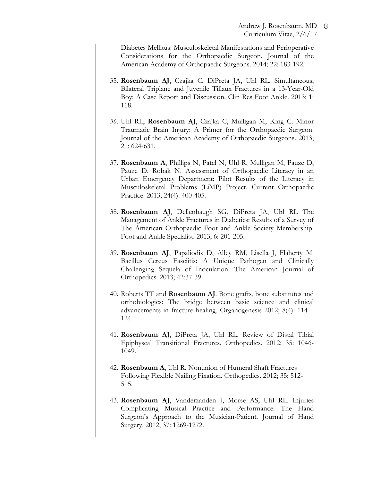Diabetes Mellitus: Musculoskeletal Manifestations and Perioperative Considerations for the Orthopaedic Surgeon. Journal of the American Academy of Orthopaedic Surgeons. 2014; 22: 183-192.

- 35. **Rosenbaum AJ**, Czajka C, DiPreta JA, Uhl RL. Simultaneous, Bilateral Triplane and Juvenile Tillaux Fractures in a 13-Year-Old Boy: A Case Report and Discussion. Clin Res Foot Ankle. 2013; 1: 118.
- *36.* Uhl RL, **Rosenbaum AJ**, Czajka C, Mulligan M, King C. Minor Traumatic Brain Injury: A Primer for the Orthopaedic Surgeon. Journal of the American Academy of Orthopaedic Surgeons. 2013; 21: 624-631.
- 37. **Rosenbaum A**, Phillips N, Patel N, Uhl R, Mulligan M, Pauze D, Pauze D, Robak N. Assessment of Orthopaedic Literacy in an Urban Emergency Department: Pilot Results of the Literacy in Musculoskeletal Problems (LiMP) Project. Current Orthopaedic Practice. 2013; 24(4): 400-405.
- 38. **Rosenbaum AJ**, Dellenbaugh SG, DiPreta JA, Uhl RL The Management of Ankle Fractures in Diabetics: Results of a Survey of The American Orthopaedic Foot and Ankle Society Membership. Foot and Ankle Specialist. 2013; 6: 201-205.
- 39. **Rosenbaum AJ**, Papaliodis D, Alley RM, Lisella J, Flaherty M. Bacillus Cereus Fasciitis: A Unique Pathogen and Clinically Challenging Sequela of Inoculation. The American Journal of Orthopedics. 2013; 42:37-39.
- 40. Roberts TT and **Rosenbaum AJ**. Bone grafts, bone substitutes and orthobiologics: The bridge between basic science and clinical advancements in fracture healing. Organogenesis 2012; 8(4): 114 – 124.
- 41. **Rosenbaum AJ**, DiPreta JA, Uhl RL. Review of Distal Tibial Epiphyseal Transitional Fractures. Orthopedics. 2012; 35: 1046- 1049.
- 42. **Rosenbaum A**, Uhl R. Nonunion of Humeral Shaft Fractures Following Flexible Nailing Fixation. Orthopedics. 2012; 35: 512- 515.
- 43. **Rosenbaum AJ**, Vanderzanden J, Morse AS, Uhl RL. Injuries Complicating Musical Practice and Performance: The Hand Surgeon's Approach to the Musician-Patient. Journal of Hand Surgery. 2012; 37: 1269-1272.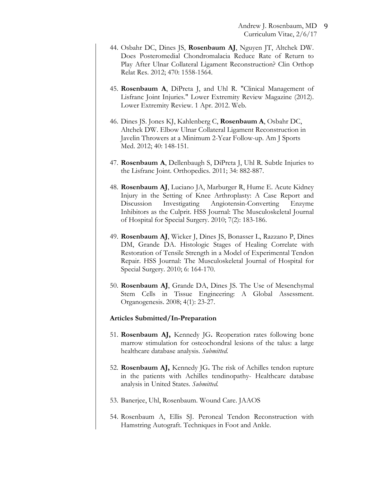- 44. Osbahr DC, Dines JS, **Rosenbaum AJ**, Nguyen JT, Altchek DW. Does Posteromedial Chondromalacia Reduce Rate of Return to Play After Ulnar Collateral Ligament Reconstruction? Clin Orthop Relat Res. 2012; 470: 1558-1564.
- 45. **Rosenbaum A**, DiPreta J, and Uhl R. "Clinical Management of Lisfranc Joint Injuries." Lower Extremity Review Magazine (2012). Lower Extremity Review. 1 Apr. 2012. Web.
- 46. Dines JS. Jones KJ, Kahlenberg C, **Rosenbaum A**, Osbahr DC, Altchek DW. Elbow Ulnar Collateral Ligament Reconstruction in Javelin Throwers at a Minimum 2-Year Follow-up. Am J Sports Med. 2012; 40: 148-151.
- 47. **Rosenbaum A**, Dellenbaugh S, DiPreta J, Uhl R. Subtle Injuries to the Lisfranc Joint. Orthopedics. 2011; 34: 882-887.
- 48. **Rosenbaum AJ**, Luciano JA, Marburger R, Hume E. Acute Kidney Injury in the Setting of Knee Arthroplasty: A Case Report and Discussion Investigating Angiotensin-Converting Enzyme Inhibitors as the Culprit. HSS Journal: The Musculoskeletal Journal of Hospital for Special Surgery. 2010; 7(2): 183-186.
- 49. **Rosenbaum AJ**, Wicker J, Dines JS, Bonasser L, Razzano P, Dines DM, Grande DA. Histologic Stages of Healing Correlate with Restoration of Tensile Strength in a Model of Experimental Tendon Repair. HSS Journal: The Musculoskeletal Journal of Hospital for Special Surgery. 2010; 6: 164-170.
- 50. **Rosenbaum AJ**, Grande DA, Dines JS. The Use of Mesenchymal Stem Cells in Tissue Engineering: A Global Assessment. Organogenesis. 2008; 4(1): 23-27.

### **Articles Submitted/In-Preparation**

- 51. **Rosenbaum AJ,** Kennedy JG**.** Reoperation rates following bone marrow stimulation for osteochondral lesions of the talus: a large healthcare database analysis. *Submitted.*
- 52. **Rosenbaum AJ,** Kennedy JG**.** The risk of Achilles tendon rupture in the patients with Achilles tendinopathy- Healthcare database analysis in United States. *Submitted.*
- 53. Banerjee, Uhl, Rosenbaum. Wound Care. JAAOS
- 54. Rosenbaum A, Ellis SJ. Peroneal Tendon Reconstruction with Hamstring Autograft. Techniques in Foot and Ankle.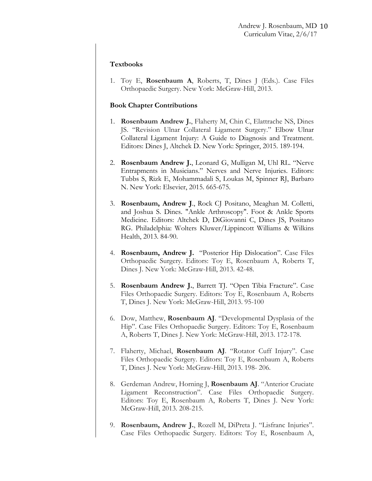### **Textbooks**

1. Toy E, **Rosenbaum A**, Roberts, T, Dines J (Eds.). Case Files Orthopaedic Surgery. New York: McGraw-Hill, 2013.

### **Book Chapter Contributions**

- 1. **Rosenbaum Andrew J.**, Flaherty M, Chin C, Elattrache NS, Dines JS. "Revision Ulnar Collateral Ligament Surgery." Elbow Ulnar Collateral Ligament Injury: A Guide to Diagnosis and Treatment. Editors: Dines J, Altchek D. New York: Springer, 2015. 189-194.
- 2. **Rosenbaum Andrew J.**, Leonard G, Mulligan M, Uhl RL. "Nerve Entrapments in Musicians." Nerves and Nerve Injuries. Editors: Tubbs S, Rizk E, Mohammadali S, Loukas M, Spinner RJ, Barbaro N. New York: Elsevier, 2015. 665-675.
- 3. **Rosenbaum, Andrew J**., Rock CJ Positano, Meaghan M. Colletti, and Joshua S. Dines. "Ankle Arthroscopy". Foot & Ankle Sports Medicine. Editors: Altchek D, DiGiovanni C, Dines JS, Positano RG. Philadelphia: Wolters Kluwer/Lippincott Williams & Wilkins Health, 2013. 84-90.
- 4. **Rosenbaum, Andrew J.** "Posterior Hip Dislocation". Case Files Orthopaedic Surgery. Editors: Toy E, Rosenbaum A, Roberts T, Dines J. New York: McGraw-Hill, 2013. 42-48.
- 5. **Rosenbaum Andrew J.**, Barrett TJ. "Open Tibia Fracture". Case Files Orthopaedic Surgery. Editors: Toy E, Rosenbaum A, Roberts T, Dines J. New York: McGraw-Hill, 2013. 95-100
- 6. Dow, Matthew, **Rosenbaum AJ**. "Developmental Dysplasia of the Hip". Case Files Orthopaedic Surgery. Editors: Toy E, Rosenbaum A, Roberts T, Dines J. New York: McGraw-Hill, 2013. 172-178.
- 7. Flaherty, Michael, **Rosenbaum AJ**. "Rotator Cuff Injury". Case Files Orthopaedic Surgery. Editors: Toy E, Rosenbaum A, Roberts T, Dines J. New York: McGraw-Hill, 2013. 198- 206.
- 8. Gerdeman Andrew, Horning J, **Rosenbaum AJ**. "Anterior Cruciate Ligament Reconstruction". Case Files Orthopaedic Surgery. Editors: Toy E, Rosenbaum A, Roberts T, Dines J. New York: McGraw-Hill, 2013. 208-215.
- 9. **Rosenbaum, Andrew J.**, Rozell M, DiPreta J. "Lisfranc Injuries". Case Files Orthopaedic Surgery. Editors: Toy E, Rosenbaum A,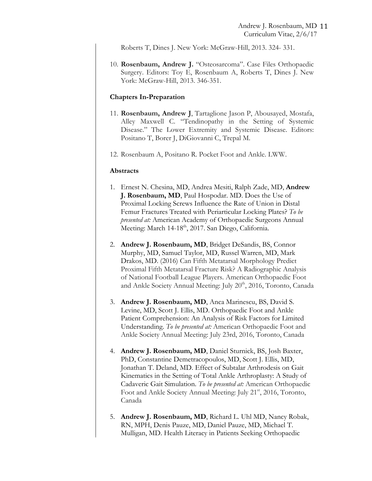Roberts T, Dines J. New York: McGraw-Hill, 2013. 324- 331.

10. **Rosenbaum, Andrew J.** "Osteosarcoma". Case Files Orthopaedic Surgery. Editors: Toy E, Rosenbaum A, Roberts T, Dines J. New York: McGraw-Hill, 2013. 346-351.

## **Chapters In-Preparation**

- 11. **Rosenbaum, Andrew J**, Tartaglione Jason P, Abousayed, Mostafa, Alley Maxwell C. "Tendinopathy in the Setting of Systemic Disease." The Lower Extremity and Systemic Disease. Editors: Positano T, Borer J, DiGiovanni C, Trepal M.
- 12. Rosenbaum A, Positano R. Pocket Foot and Ankle. LWW.

### **Abstracts**

- 1. Ernest N. Chesina, MD, Andrea Mesiti, Ralph Zade, MD, **Andrew J. Rosenbaum, MD**, Paul Hospodar. MD. Does the Use of Proximal Locking Screws Influence the Rate of Union in Distal Femur Fractures Treated with Periarticular Locking Plates? *To be presented at:* American Academy of Orthopaedic Surgeons Annual Meeting: March 14-18<sup>th</sup>, 2017. San Diego, California.
- 2. **Andrew J. Rosenbaum, MD**, Bridget DeSandis, BS, Connor Murphy, MD, Samuel Taylor, MD, Russel Warren, MD, Mark Drakos, MD. (2016) Can Fifth Metatarsal Morphology Predict Proximal Fifth Metatarsal Fracture Risk? A Radiographic Analysis of National Football League Players. American Orthopaedic Foot and Ankle Society Annual Meeting: July 20<sup>th</sup>, 2016, Toronto, Canada
- 3. **Andrew J. Rosenbaum, MD**, Anca Marinescu, BS, David S. Levine, MD, Scott J. Ellis, MD. Orthopaedic Foot and Ankle Patient Comprehension: An Analysis of Risk Factors for Limited Understanding. *To be presented at:* American Orthopaedic Foot and Ankle Society Annual Meeting: July 23rd, 2016, Toronto, Canada
- 4. **Andrew J. Rosenbaum, MD**, Daniel Sturnick, BS, Josh Baxter, PhD, Constantine Demetracopoulos, MD, Scott J. Ellis, MD, Jonathan T. Deland, MD. Effect of Subtalar Arthrodesis on Gait Kinematics in the Setting of Total Ankle Arthroplasty: A Study of Cadaveric Gait Simulation. *To be presented at:* American Orthopaedic Foot and Ankle Society Annual Meeting: July 21<sup>st</sup>, 2016, Toronto, Canada
- 5. **Andrew J. Rosenbaum, MD**, Richard L. Uhl MD, Nancy Robak, RN, MPH, Denis Pauze, MD, Daniel Pauze, MD, Michael T. Mulligan, MD. Health Literacy in Patients Seeking Orthopaedic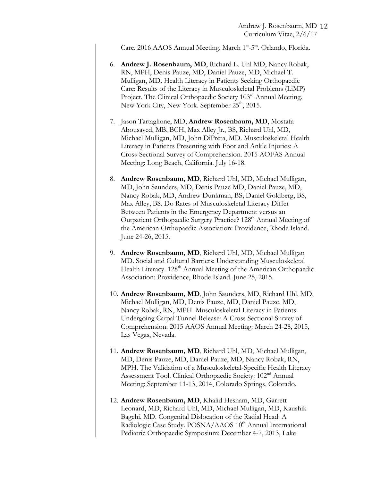Care. 2016 AAOS Annual Meeting. March 1st-5th. Orlando, Florida.

- 6. **Andrew J. Rosenbaum, MD**, Richard L. Uhl MD, Nancy Robak, RN, MPH, Denis Pauze, MD, Daniel Pauze, MD, Michael T. Mulligan, MD. Health Literacy in Patients Seeking Orthopaedic Care: Results of the Literacy in Musculoskeletal Problems (LiMP) Project. The Clinical Orthopaedic Society 103<sup>rd</sup> Annual Meeting. New York City, New York. September  $25<sup>th</sup>$ , 2015.
- 7. Jason Tartaglione, MD, **Andrew Rosenbaum, MD**, Mostafa Abousayed, MB, BCH, Max Alley Jr., BS, Richard Uhl, MD, Michael Mulligan, MD, John DiPreta, MD. Musculoskeletal Health Literacy in Patients Presenting with Foot and Ankle Injuries: A Cross-Sectional Survey of Comprehension. 2015 AOFAS Annual Meeting: Long Beach, California. July 16-18.
- 8. **Andrew Rosenbaum, MD**, Richard Uhl, MD, Michael Mulligan, MD, John Saunders, MD, Denis Pauze MD, Daniel Pauze, MD, Nancy Robak, MD, Andrew Dunkman, BS, Daniel Goldberg, BS, Max Alley, BS. Do Rates of Musculoskeletal Literacy Differ Between Patients in the Emergency Department versus an Outpatient Orthopaedic Surgery Practice? 128<sup>th</sup> Annual Meeting of the American Orthopaedic Association: Providence, Rhode Island. June 24-26, 2015.
- 9. **Andrew Rosenbaum, MD**, Richard Uhl, MD, Michael Mulligan MD. Social and Cultural Barriers: Understanding Musculoskeletal Health Literacy. 128<sup>th</sup> Annual Meeting of the American Orthopaedic Association: Providence, Rhode Island. June 25, 2015.
- 10. **Andrew Rosenbaum, MD**, John Saunders, MD, Richard Uhl, MD, Michael Mulligan, MD, Denis Pauze, MD, Daniel Pauze, MD, Nancy Robak, RN, MPH. Musculoskeletal Literacy in Patients Undergoing Carpal Tunnel Release: A Cross Sectional Survey of Comprehension. 2015 AAOS Annual Meeting: March 24-28, 2015, Las Vegas, Nevada.
- 11. **Andrew Rosenbaum, MD**, Richard Uhl, MD, Michael Mulligan, MD, Denis Pauze, MD, Daniel Pauze, MD, Nancy Robak, RN, MPH. The Validation of a Musculoskeletal-Specific Health Literacy Assessment Tool. Clinical Orthopaedic Society: 102<sup>nd</sup> Annual Meeting: September 11-13, 2014, Colorado Springs, Colorado.
- 12. **Andrew Rosenbaum, MD**, Khalid Hesham, MD, Garrett Leonard, MD, Richard Uhl, MD, Michael Mulligan, MD, Kaushik Bagchi, MD. Congenital Dislocation of the Radial Head: A Radiologic Case Study. POSNA/AAOS 10<sup>th</sup> Annual International Pediatric Orthopaedic Symposium: December 4-7, 2013, Lake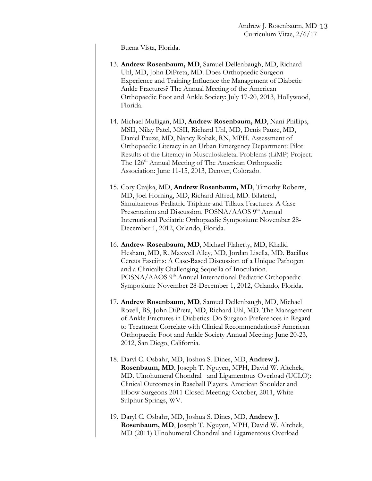Buena Vista, Florida.

- 13. **Andrew Rosenbaum, MD**, Samuel Dellenbaugh, MD, Richard Uhl, MD, John DiPreta, MD. Does Orthopaedic Surgeon Experience and Training Influence the Management of Diabetic Ankle Fractures? The Annual Meeting of the American Orthopaedic Foot and Ankle Society: July 17-20, 2013, Hollywood, Florida.
- 14. Michael Mulligan, MD, **Andrew Rosenbaum, MD**, Nani Phillips, MSII, Nilay Patel, MSII, Richard Uhl, MD, Denis Pauze, MD, Daniel Pauze, MD, Nancy Robak, RN, MPH. Assessment of Orthopaedic Literacy in an Urban Emergency Department: Pilot Results of the Literacy in Musculoskeletal Problems (LiMP) Project. The 126<sup>th</sup> Annual Meeting of The American Orthopaedic Association: June 11-15, 2013, Denver, Colorado.
- 15. Cory Czajka, MD, **Andrew Rosenbaum, MD**, Timothy Roberts, MD, Joel Horning, MD, Richard Alfred, MD. Bilateral, Simultaneous Pediatric Triplane and Tillaux Fractures: A Case Presentation and Discussion. POSNA/AAOS 9<sup>th</sup> Annual International Pediatric Orthopaedic Symposium: November 28- December 1, 2012, Orlando, Florida.
- 16. **Andrew Rosenbaum, MD**, Michael Flaherty, MD, Khalid Hesham, MD, R. Maxwell Alley, MD, Jordan Lisella, MD. Bacillus Cereus Fasciitis: A Case-Based Discussion of a Unique Pathogen and a Clinically Challenging Sequella of Inoculation. POSNA/AAOS 9<sup>th</sup> Annual International Pediatric Orthopaedic Symposium: November 28-December 1, 2012, Orlando, Florida.
- 17. **Andrew Rosenbaum, MD**, Samuel Dellenbaugh, MD, Michael Rozell, BS, John DiPreta, MD, Richard Uhl, MD. The Management of Ankle Fractures in Diabetics: Do Surgeon Preferences in Regard to Treatment Correlate with Clinical Recommendations? American Orthopaedic Foot and Ankle Society Annual Meeting: June 20-23, 2012, San Diego, California.
- 18. Daryl C. Osbahr, MD, Joshua S. Dines, MD, **Andrew J. Rosenbaum, MD**, Joseph T. Nguyen, MPH, David W. Altchek, MD. Ulnohumeral Chondral and Ligamentous Overload (UCLO): Clinical Outcomes in Baseball Players. American Shoulder and Elbow Surgeons 2011 Closed Meeting: October, 2011, White Sulphur Springs, WV.
- 19. Daryl C. Osbahr, MD, Joshua S. Dines, MD, **Andrew J. Rosenbaum, MD**, Joseph T. Nguyen, MPH, David W. Altchek, MD (2011) Ulnohumeral Chondral and Ligamentous Overload